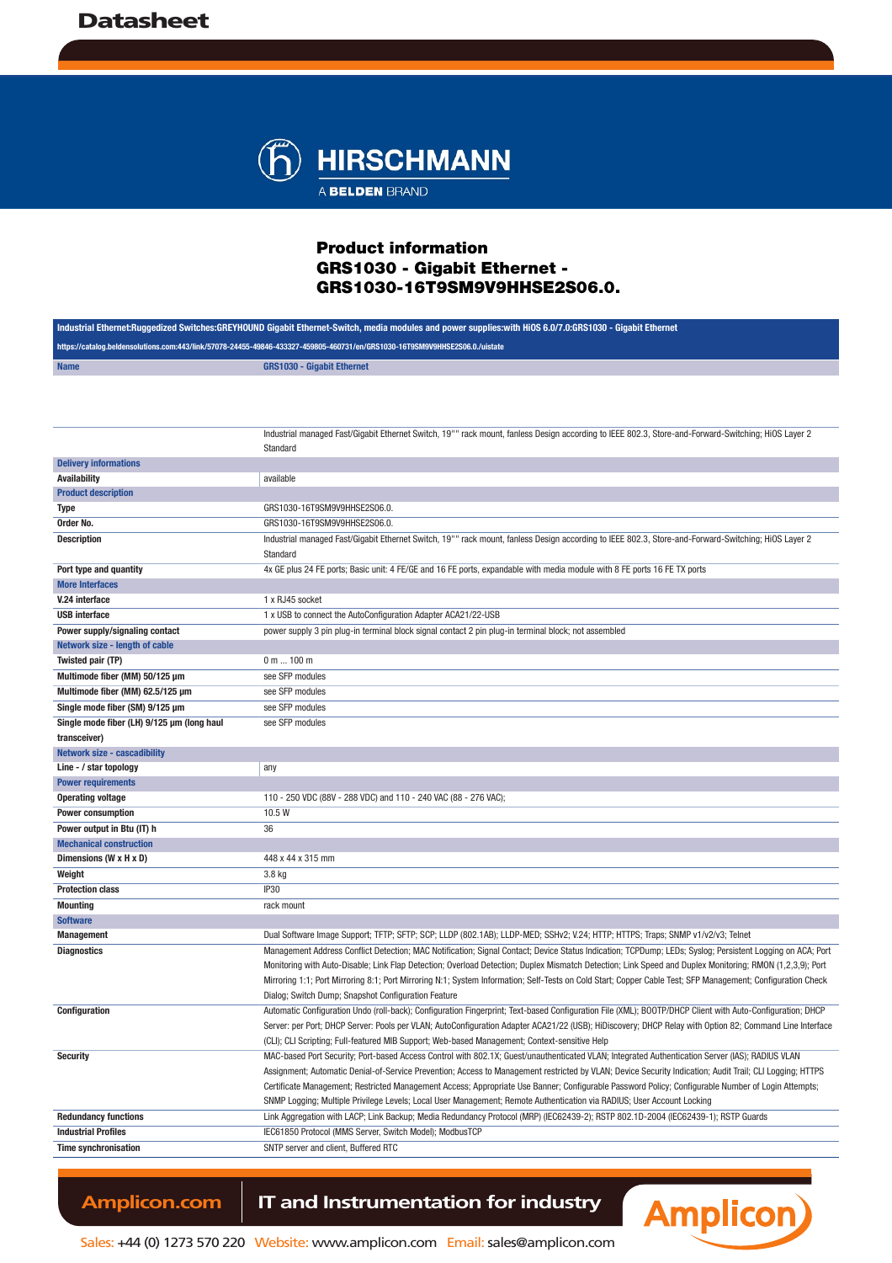

Product information GRS1030 - Gigabit Ethernet - GRS1030-16T9SM9V9HHSE2S06.0.

| Industrial Ethernet:Ruqgedized Switches:GREYHOUND Gigabit Ethernet-Switch, media modules and power supplies:with HiOS 6.0/7.0:GRS1030 - Gigabit Ethernet |                                                                                                                                                             |  |
|----------------------------------------------------------------------------------------------------------------------------------------------------------|-------------------------------------------------------------------------------------------------------------------------------------------------------------|--|
| https://catalog.beldensolutions.com:443/link/57078-24455-49846-433327-459805-460731/en/GRS1030-16T9SM9V9HHSE2S06.0./uistate                              |                                                                                                                                                             |  |
| <b>Name</b>                                                                                                                                              | <b>GRS1030 - Gigabit Ethernet</b>                                                                                                                           |  |
|                                                                                                                                                          |                                                                                                                                                             |  |
|                                                                                                                                                          |                                                                                                                                                             |  |
|                                                                                                                                                          |                                                                                                                                                             |  |
|                                                                                                                                                          | Industrial managed Fast/Gigabit Ethernet Switch, 19"" rack mount, fanless Design according to IEEE 802.3, Store-and-Forward-Switching; HiOS Layer 2         |  |
|                                                                                                                                                          | Standard                                                                                                                                                    |  |
| <b>Delivery informations</b>                                                                                                                             |                                                                                                                                                             |  |
| <b>Availability</b>                                                                                                                                      | available                                                                                                                                                   |  |
| <b>Product description</b>                                                                                                                               |                                                                                                                                                             |  |
| Type                                                                                                                                                     | GRS1030-16T9SM9V9HHSE2S06.0.                                                                                                                                |  |
| Order No.                                                                                                                                                | GRS1030-16T9SM9V9HHSE2S06.0.                                                                                                                                |  |
| <b>Description</b>                                                                                                                                       | Industrial managed Fast/Gigabit Ethernet Switch, 19"" rack mount, fanless Design according to IEEE 802.3, Store-and-Forward-Switching; HiOS Layer 2         |  |
|                                                                                                                                                          | Standard                                                                                                                                                    |  |
| Port type and quantity<br><b>More Interfaces</b>                                                                                                         | 4x GE plus 24 FE ports; Basic unit: 4 FE/GE and 16 FE ports, expandable with media module with 8 FE ports 16 FE TX ports                                    |  |
| V.24 interface                                                                                                                                           | 1 x RJ45 socket                                                                                                                                             |  |
| <b>USB</b> interface                                                                                                                                     | 1 x USB to connect the AutoConfiguration Adapter ACA21/22-USB                                                                                               |  |
| Power supply/signaling contact                                                                                                                           | power supply 3 pin plug-in terminal block signal contact 2 pin plug-in terminal block; not assembled                                                        |  |
| Network size - length of cable                                                                                                                           |                                                                                                                                                             |  |
| Twisted pair (TP)                                                                                                                                        | 0 m  100 m                                                                                                                                                  |  |
| Multimode fiber (MM) 50/125 µm                                                                                                                           | see SFP modules                                                                                                                                             |  |
| Multimode fiber (MM) 62.5/125 µm                                                                                                                         | see SFP modules                                                                                                                                             |  |
| Single mode fiber (SM) 9/125 µm                                                                                                                          | see SFP modules                                                                                                                                             |  |
| Single mode fiber (LH) 9/125 µm (long haul                                                                                                               | see SFP modules                                                                                                                                             |  |
| transceiver)                                                                                                                                             |                                                                                                                                                             |  |
| <b>Network size - cascadibility</b>                                                                                                                      |                                                                                                                                                             |  |
| Line - / star topology                                                                                                                                   | any                                                                                                                                                         |  |
| <b>Power requirements</b>                                                                                                                                |                                                                                                                                                             |  |
| <b>Operating voltage</b>                                                                                                                                 | 110 - 250 VDC (88V - 288 VDC) and 110 - 240 VAC (88 - 276 VAC);                                                                                             |  |
| <b>Power consumption</b>                                                                                                                                 | 10.5 W                                                                                                                                                      |  |
| Power output in Btu (IT) h                                                                                                                               | 36                                                                                                                                                          |  |
| <b>Mechanical construction</b>                                                                                                                           |                                                                                                                                                             |  |
| Dimensions (W x H x D)                                                                                                                                   | 448 x 44 x 315 mm                                                                                                                                           |  |
| Weight                                                                                                                                                   | 3.8 kg                                                                                                                                                      |  |
| <b>Protection class</b>                                                                                                                                  | <b>IP30</b>                                                                                                                                                 |  |
| <b>Mounting</b>                                                                                                                                          | rack mount                                                                                                                                                  |  |
| <b>Software</b><br><b>Management</b>                                                                                                                     | Dual Software Image Support; TFTP; SFTP; SCP; LLDP (802.1AB); LLDP-MED; SSHv2; V.24; HTTP; HTTPS; Traps; SNMP v1/v2/v3; Telnet                              |  |
| <b>Diagnostics</b>                                                                                                                                       | Management Address Conflict Detection; MAC Notification; Signal Contact; Device Status Indication; TCPDump; LEDs; Syslog; Persistent Logging on ACA; Port   |  |
|                                                                                                                                                          | Monitoring with Auto-Disable; Link Flap Detection; Overload Detection; Duplex Mismatch Detection; Link Speed and Duplex Monitoring; RMON (1,2,3,9); Port    |  |
|                                                                                                                                                          | Mirroring 1:1; Port Mirroring 8:1; Port Mirroring N:1; System Information; Self-Tests on Cold Start; Copper Cable Test; SFP Management; Configuration Check |  |
|                                                                                                                                                          | Dialog; Switch Dump; Snapshot Configuration Feature                                                                                                         |  |
| Configuration                                                                                                                                            | Automatic Configuration Undo (roll-back); Configuration Fingerprint; Text-based Configuration File (XML); BOOTP/DHCP Client with Auto-Configuration; DHCP   |  |
|                                                                                                                                                          | Server: per Port; DHCP Server: Pools per VLAN; AutoConfiguration Adapter ACA21/22 (USB); HiDiscovery; DHCP Relay with Option 82; Command Line Interface     |  |
|                                                                                                                                                          | (CLI); CLI Scripting; Full-featured MIB Support; Web-based Management; Context-sensitive Help                                                               |  |
| <b>Security</b>                                                                                                                                          | MAC-based Port Security; Port-based Access Control with 802.1X; Guest/unauthenticated VLAN; Integrated Authentication Server (IAS); RADIUS VLAN             |  |
|                                                                                                                                                          | Assignment; Automatic Denial-of-Service Prevention; Access to Management restricted by VLAN; Device Security Indication; Audit Trail; CLI Logging; HTTPS    |  |
|                                                                                                                                                          | Certificate Management; Restricted Management Access; Appropriate Use Banner; Configurable Password Policy; Configurable Number of Login Attempts;          |  |
|                                                                                                                                                          | SNMP Logging; Multiple Privilege Levels; Local User Management; Remote Authentication via RADIUS; User Account Locking                                      |  |
| <b>Redundancy functions</b>                                                                                                                              | Link Aggregation with LACP; Link Backup; Media Redundancy Protocol (MRP) (IEC62439-2); RSTP 802.1D-2004 (IEC62439-1); RSTP Guards                           |  |
| <b>Industrial Profiles</b>                                                                                                                               | IEC61850 Protocol (MMS Server, Switch Model); ModbusTCP                                                                                                     |  |
| <b>Time synchronisation</b>                                                                                                                              | SNTP server and client, Buffered RTC                                                                                                                        |  |
|                                                                                                                                                          |                                                                                                                                                             |  |

Amplicon.com | IT and Instrumentation for industry



Sales: +44 (0) 1273 570 220 Website: www.amplicon.com Email: sales@amplicon.com